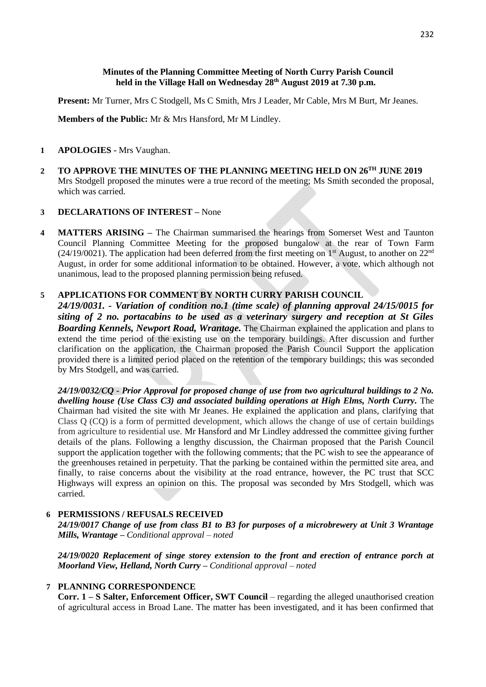## **Minutes of the Planning Committee Meeting of North Curry Parish Council held in the Village Hall on Wednesday 28th August 2019 at 7.30 p.m.**

**Present:** Mr Turner, Mrs C Stodgell, Ms C Smith, Mrs J Leader, Mr Cable, Mrs M Burt, Mr Jeanes.

**Members of the Public:** Mr & Mrs Hansford, Mr M Lindley.

#### **1 APOLOGIES -** Mrs Vaughan.

**2 TO APPROVE THE MINUTES OF THE PLANNING MEETING HELD ON 26 TH JUNE 2019** Mrs Stodgell proposed the minutes were a true record of the meeting; Ms Smith seconded the proposal, which was carried.

## **3 DECLARATIONS OF INTEREST –** None

**4 MATTERS ARISING –** The Chairman summarised the hearings from Somerset West and Taunton Council Planning Committee Meeting for the proposed bungalow at the rear of Town Farm  $(24/19/0021)$ . The application had been deferred from the first meeting on 1<sup>st</sup> August, to another on 22<sup>nd</sup> August, in order for some additional information to be obtained. However, a vote, which although not unanimous, lead to the proposed planning permission being refused.

## **5 APPLICATIONS FOR COMMENT BY NORTH CURRY PARISH COUNCIL**

*24/19/0031. - Variation of condition no.1 (time scale) of planning approval 24/15/0015 for siting of 2 no. portacabins to be used as a veterinary surgery and reception at St Giles Boarding Kennels, Newport Road, Wrantage.* The Chairman explained the application and plans to extend the time period of the existing use on the temporary buildings. After discussion and further clarification on the application, the Chairman proposed the Parish Council Support the application provided there is a limited period placed on the retention of the temporary buildings; this was seconded by Mrs Stodgell, and was carried.

*24/19/0032/CQ - Prior Approval for proposed change of use from two agricultural buildings to 2 No.*  dwelling house (Use Class C3) and associated building operations at High Elms, North Curry. The Chairman had visited the site with Mr Jeanes. He explained the application and plans, clarifying that Class Q (CQ) is a form of permitted development, which allows the change of use of certain buildings from agriculture to residential use. Mr Hansford and Mr Lindley addressed the committee giving further details of the plans. Following a lengthy discussion, the Chairman proposed that the Parish Council support the application together with the following comments; that the PC wish to see the appearance of the greenhouses retained in perpetuity. That the parking be contained within the permitted site area, and finally, to raise concerns about the visibility at the road entrance, however, the PC trust that SCC Highways will express an opinion on this. The proposal was seconded by Mrs Stodgell, which was carried.

## **6 PERMISSIONS / REFUSALS RECEIVED**

*24/19/0017 Change of use from class B1 to B3 for purposes of a microbrewery at Unit 3 Wrantage Mills, Wrantage* **–** *Conditional approval – noted*

*24/19/0020 Replacement of singe storey extension to the front and erection of entrance porch at Moorland View, Helland, North Curry* **–** *Conditional approval – noted*

#### **7 PLANNING CORRESPONDENCE**

**Corr. 1 – S Salter, Enforcement Officer, SWT Council** – regarding the alleged unauthorised creation of agricultural access in Broad Lane. The matter has been investigated, and it has been confirmed that